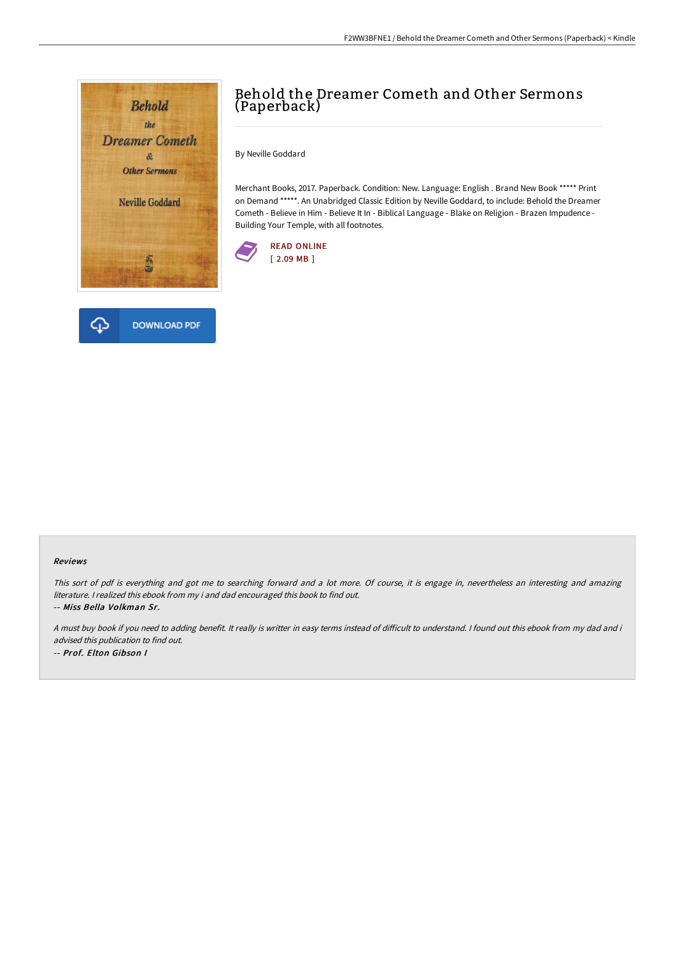



By Neville Goddard

Merchant Books, 2017. Paperback. Condition: New. Language: English . Brand New Book \*\*\*\*\* Print on Demand \*\*\*\*\*. An Unabridged Classic Edition by Neville Goddard, to include: Behold the Dreamer Cometh - Believe in Him - Believe It In - Biblical Language - Blake on Religion - Brazen Impudence - Building Your Temple, with all footnotes.





#### Reviews

This sort of pdf is everything and got me to searching forward and a lot more. Of course, it is engage in, nevertheless an interesting and amazing literature. <sup>I</sup> realized this ebook from my i and dad encouraged this book to find out. -- Miss Bella Volkman Sr.

A must buy book if you need to adding benefit. It really is writter in easy terms instead of difficult to understand. I found out this ebook from my dad and i advised this publication to find out. -- Prof. Elton Gibson I